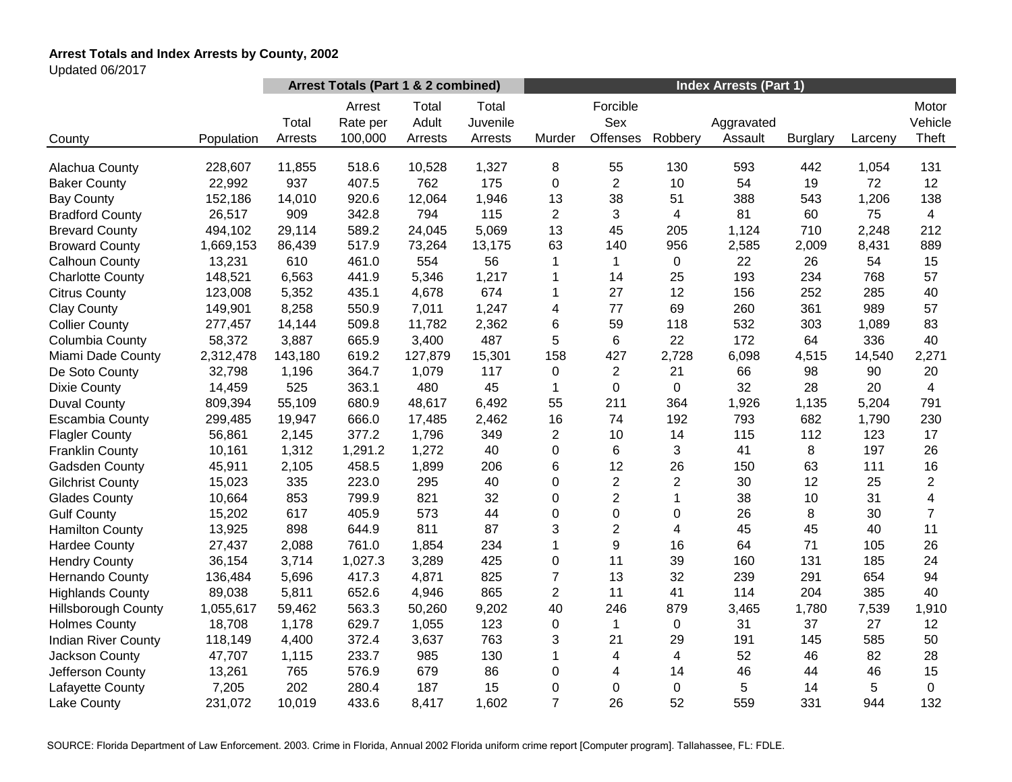# **Arrest Totals and Index Arrests by County, 2002**

Updated 06/2017

|                            |            | Arrest Totals (Part 1 & 2 combined) |                               |                           |                              | <b>Index Arrests (Part 1)</b> |                             |                         |                       |                 |         |                           |
|----------------------------|------------|-------------------------------------|-------------------------------|---------------------------|------------------------------|-------------------------------|-----------------------------|-------------------------|-----------------------|-----------------|---------|---------------------------|
| County                     | Population | Total<br>Arrests                    | Arrest<br>Rate per<br>100,000 | Total<br>Adult<br>Arrests | Total<br>Juvenile<br>Arrests | Murder                        | Forcible<br>Sex<br>Offenses | Robbery                 | Aggravated<br>Assault | <b>Burglary</b> | Larceny | Motor<br>Vehicle<br>Theft |
|                            |            |                                     |                               |                           |                              |                               |                             |                         |                       |                 |         |                           |
| Alachua County             | 228,607    | 11,855                              | 518.6                         | 10,528                    | 1,327                        | 8                             | 55                          | 130                     | 593                   | 442             | 1,054   | 131                       |
| <b>Baker County</b>        | 22,992     | 937                                 | 407.5                         | 762                       | 175                          | 0                             | $\overline{2}$              | 10                      | 54                    | 19              | 72      | 12                        |
| <b>Bay County</b>          | 152,186    | 14,010                              | 920.6                         | 12,064                    | 1,946                        | 13                            | 38                          | 51                      | 388                   | 543             | 1,206   | 138                       |
| <b>Bradford County</b>     | 26,517     | 909                                 | 342.8                         | 794                       | 115                          | $\overline{2}$                | 3                           | 4                       | 81                    | 60              | 75      | $\overline{4}$            |
| <b>Brevard County</b>      | 494,102    | 29,114                              | 589.2                         | 24,045                    | 5,069                        | 13                            | 45                          | 205                     | 1,124                 | 710             | 2,248   | 212                       |
| <b>Broward County</b>      | 1,669,153  | 86,439                              | 517.9                         | 73,264                    | 13,175                       | 63                            | 140                         | 956                     | 2,585                 | 2,009           | 8,431   | 889                       |
| Calhoun County             | 13,231     | 610                                 | 461.0                         | 554                       | 56                           | 1                             | $\mathbf 1$                 | 0                       | 22                    | 26              | 54      | 15                        |
| <b>Charlotte County</b>    | 148,521    | 6,563                               | 441.9                         | 5,346                     | 1,217                        | 1                             | 14                          | 25                      | 193                   | 234             | 768     | 57                        |
| <b>Citrus County</b>       | 123,008    | 5,352                               | 435.1                         | 4,678                     | 674                          | 1                             | 27                          | 12                      | 156                   | 252             | 285     | 40                        |
| <b>Clay County</b>         | 149,901    | 8,258                               | 550.9                         | 7,011                     | 1,247                        | 4                             | 77                          | 69                      | 260                   | 361             | 989     | 57                        |
| <b>Collier County</b>      | 277,457    | 14,144                              | 509.8                         | 11,782                    | 2,362                        | 6                             | 59                          | 118                     | 532                   | 303             | 1,089   | 83                        |
| Columbia County            | 58,372     | 3,887                               | 665.9                         | 3,400                     | 487                          | 5                             | 6                           | 22                      | 172                   | 64              | 336     | 40                        |
| Miami Dade County          | 2,312,478  | 143,180                             | 619.2                         | 127,879                   | 15,301                       | 158                           | 427                         | 2,728                   | 6,098                 | 4,515           | 14,540  | 2,271                     |
| De Soto County             | 32,798     | 1,196                               | 364.7                         | 1,079                     | 117                          | 0                             | $\overline{2}$              | 21                      | 66                    | 98              | 90      | 20                        |
| <b>Dixie County</b>        | 14,459     | 525                                 | 363.1                         | 480                       | 45                           | 1                             | 0                           | 0                       | 32                    | 28              | 20      | $\overline{4}$            |
| <b>Duval County</b>        | 809,394    | 55,109                              | 680.9                         | 48,617                    | 6,492                        | 55                            | 211                         | 364                     | 1,926                 | 1,135           | 5,204   | 791                       |
| <b>Escambia County</b>     | 299,485    | 19,947                              | 666.0                         | 17,485                    | 2,462                        | 16                            | 74                          | 192                     | 793                   | 682             | 1,790   | 230                       |
| <b>Flagler County</b>      | 56,861     | 2,145                               | 377.2                         | 1,796                     | 349                          | $\overline{c}$                | 10                          | 14                      | 115                   | 112             | 123     | 17                        |
| <b>Franklin County</b>     | 10,161     | 1,312                               | 1,291.2                       | 1,272                     | 40                           | 0                             | 6                           | 3                       | 41                    | 8               | 197     | 26                        |
| Gadsden County             | 45,911     | 2,105                               | 458.5                         | 1,899                     | 206                          | 6                             | 12                          | 26                      | 150                   | 63              | 111     | 16                        |
| <b>Gilchrist County</b>    | 15,023     | 335                                 | 223.0                         | 295                       | 40                           | 0                             | $\overline{c}$              | $\overline{\mathbf{c}}$ | 30                    | 12              | 25      | $\overline{c}$            |
| <b>Glades County</b>       | 10,664     | 853                                 | 799.9                         | 821                       | 32                           | 0                             | $\overline{2}$              | 1                       | 38                    | 10              | 31      | $\overline{\mathbf{4}}$   |
| <b>Gulf County</b>         | 15,202     | 617                                 | 405.9                         | 573                       | 44                           | $\mathbf 0$                   | 0                           | 0                       | 26                    | 8               | 30      | $\overline{7}$            |
| <b>Hamilton County</b>     | 13,925     | 898                                 | 644.9                         | 811                       | 87                           | 3                             | $\overline{2}$              | 4                       | 45                    | 45              | 40      | 11                        |
| <b>Hardee County</b>       | 27,437     | 2,088                               | 761.0                         | 1,854                     | 234                          | 1                             | 9                           | 16                      | 64                    | 71              | 105     | 26                        |
| <b>Hendry County</b>       | 36,154     | 3,714                               | 1,027.3                       | 3,289                     | 425                          | 0                             | 11                          | 39                      | 160                   | 131             | 185     | 24                        |
| Hernando County            | 136,484    | 5,696                               | 417.3                         | 4,871                     | 825                          | $\overline{7}$                | 13                          | 32                      | 239                   | 291             | 654     | 94                        |
| <b>Highlands County</b>    | 89,038     | 5,811                               | 652.6                         | 4,946                     | 865                          | $\overline{2}$                | 11                          | 41                      | 114                   | 204             | 385     | 40                        |
| <b>Hillsborough County</b> | 1,055,617  | 59,462                              | 563.3                         | 50,260                    | 9,202                        | 40                            | 246                         | 879                     | 3,465                 | 1,780           | 7,539   | 1,910                     |
| <b>Holmes County</b>       | 18,708     | 1,178                               | 629.7                         | 1,055                     | 123                          | $\mathbf 0$                   | 1                           | 0                       | 31                    | 37              | 27      | 12                        |
| <b>Indian River County</b> | 118,149    | 4,400                               | 372.4                         | 3,637                     | 763                          | 3                             | 21                          | 29                      | 191                   | 145             | 585     | 50                        |
| Jackson County             | 47,707     | 1,115                               | 233.7                         | 985                       | 130                          | 1                             | 4                           | 4                       | 52                    | 46              | 82      | 28                        |
| Jefferson County           | 13,261     | 765                                 | 576.9                         | 679                       | 86                           | 0                             | 4                           | 14                      | 46                    | 44              | 46      | 15                        |
| Lafayette County           | 7,205      | 202                                 | 280.4                         | 187                       | 15                           | 0                             | 0                           | 0                       | 5                     | 14              | 5       | $\mathbf 0$               |
| Lake County                | 231,072    | 10,019                              | 433.6                         | 8,417                     | 1,602                        | $\overline{7}$                | 26                          | 52                      | 559                   | 331             | 944     | 132                       |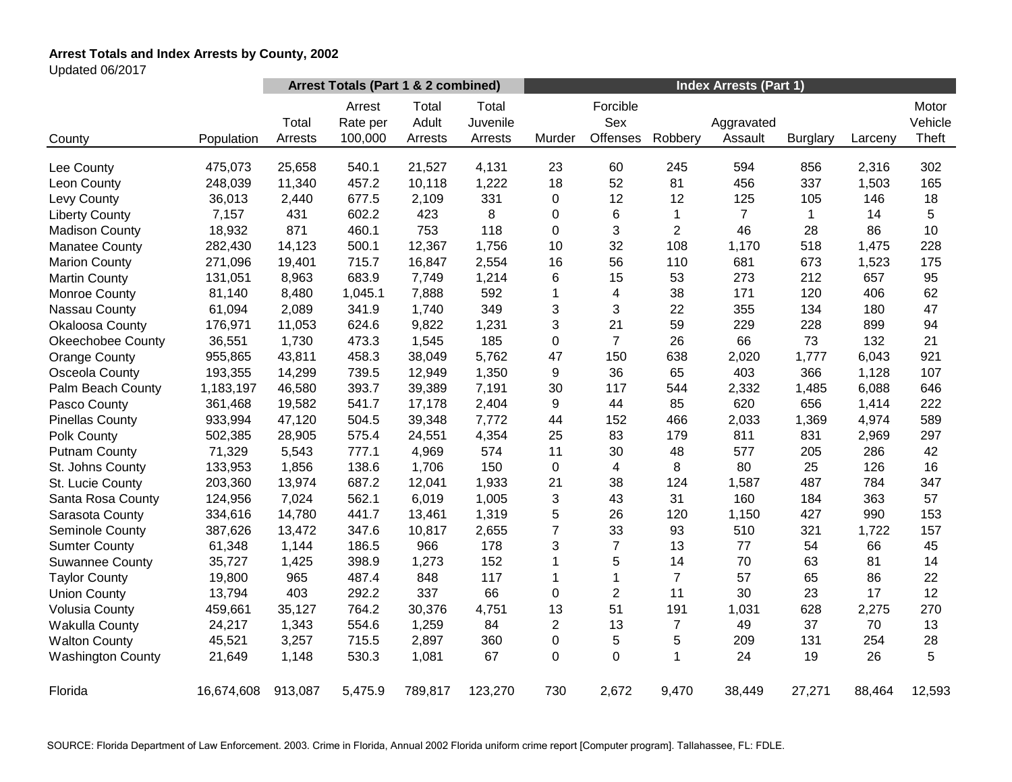# **Arrest Totals and Index Arrests by County, 2002**

Updated 06/2017

|                          |            | Arrest Totals (Part 1 & 2 combined) |                               |                           |                              | <b>Index Arrests (Part 1)</b> |                             |                |                       |                 |         |                           |
|--------------------------|------------|-------------------------------------|-------------------------------|---------------------------|------------------------------|-------------------------------|-----------------------------|----------------|-----------------------|-----------------|---------|---------------------------|
| County                   | Population | Total<br>Arrests                    | Arrest<br>Rate per<br>100,000 | Total<br>Adult<br>Arrests | Total<br>Juvenile<br>Arrests | Murder                        | Forcible<br>Sex<br>Offenses | Robbery        | Aggravated<br>Assault | <b>Burglary</b> | Larceny | Motor<br>Vehicle<br>Theft |
|                          |            |                                     |                               |                           |                              |                               |                             |                |                       |                 |         |                           |
| Lee County               | 475,073    | 25,658                              | 540.1                         | 21,527                    | 4,131                        | 23                            | 60                          | 245            | 594                   | 856             | 2,316   | 302                       |
| Leon County              | 248,039    | 11,340                              | 457.2                         | 10,118                    | 1,222                        | 18                            | 52                          | 81             | 456                   | 337             | 1,503   | 165                       |
| Levy County              | 36,013     | 2,440                               | 677.5                         | 2,109                     | 331                          | $\pmb{0}$                     | 12                          | 12             | 125                   | 105             | 146     | 18                        |
| <b>Liberty County</b>    | 7,157      | 431                                 | 602.2                         | 423                       | 8                            | 0                             | 6                           | $\mathbf{1}$   | $\overline{7}$        | 1               | 14      | 5                         |
| <b>Madison County</b>    | 18,932     | 871                                 | 460.1                         | 753                       | 118                          | 0                             | 3                           | $\overline{c}$ | 46                    | 28              | 86      | 10                        |
| <b>Manatee County</b>    | 282,430    | 14,123                              | 500.1                         | 12,367                    | 1,756                        | 10                            | 32                          | 108            | 1,170                 | 518             | 1,475   | 228                       |
| <b>Marion County</b>     | 271,096    | 19,401                              | 715.7                         | 16,847                    | 2,554                        | 16                            | 56                          | 110            | 681                   | 673             | 1,523   | 175                       |
| <b>Martin County</b>     | 131,051    | 8,963                               | 683.9                         | 7,749                     | 1,214                        | 6                             | 15                          | 53             | 273                   | 212             | 657     | 95                        |
| <b>Monroe County</b>     | 81,140     | 8,480                               | 1,045.1                       | 7,888                     | 592                          | 1                             | $\overline{\mathbf{4}}$     | 38             | 171                   | 120             | 406     | 62                        |
| Nassau County            | 61,094     | 2,089                               | 341.9                         | 1,740                     | 349                          | 3                             | 3                           | 22             | 355                   | 134             | 180     | 47                        |
| Okaloosa County          | 176,971    | 11,053                              | 624.6                         | 9,822                     | 1,231                        | 3                             | 21                          | 59             | 229                   | 228             | 899     | 94                        |
| <b>Okeechobee County</b> | 36,551     | 1,730                               | 473.3                         | 1,545                     | 185                          | 0                             | $\overline{7}$              | 26             | 66                    | 73              | 132     | 21                        |
| <b>Orange County</b>     | 955,865    | 43,811                              | 458.3                         | 38,049                    | 5,762                        | 47                            | 150                         | 638            | 2,020                 | 1,777           | 6,043   | 921                       |
| Osceola County           | 193,355    | 14,299                              | 739.5                         | 12,949                    | 1,350                        | 9                             | 36                          | 65             | 403                   | 366             | 1,128   | 107                       |
| Palm Beach County        | 1,183,197  | 46,580                              | 393.7                         | 39,389                    | 7,191                        | 30                            | 117                         | 544            | 2,332                 | 1,485           | 6,088   | 646                       |
| Pasco County             | 361,468    | 19,582                              | 541.7                         | 17,178                    | 2,404                        | 9                             | 44                          | 85             | 620                   | 656             | 1,414   | 222                       |
| <b>Pinellas County</b>   | 933,994    | 47,120                              | 504.5                         | 39,348                    | 7,772                        | 44                            | 152                         | 466            | 2,033                 | 1,369           | 4,974   | 589                       |
| Polk County              | 502,385    | 28,905                              | 575.4                         | 24,551                    | 4,354                        | 25                            | 83                          | 179            | 811                   | 831             | 2,969   | 297                       |
| <b>Putnam County</b>     | 71,329     | 5,543                               | 777.1                         | 4,969                     | 574                          | 11                            | 30                          | 48             | 577                   | 205             | 286     | 42                        |
| St. Johns County         | 133,953    | 1,856                               | 138.6                         | 1,706                     | 150                          | $\mathbf 0$                   | 4                           | 8              | 80                    | 25              | 126     | 16                        |
| St. Lucie County         | 203,360    | 13,974                              | 687.2                         | 12,041                    | 1,933                        | 21                            | 38                          | 124            | 1,587                 | 487             | 784     | 347                       |
| Santa Rosa County        | 124,956    | 7,024                               | 562.1                         | 6,019                     | 1,005                        | 3                             | 43                          | 31             | 160                   | 184             | 363     | 57                        |
| Sarasota County          | 334,616    | 14,780                              | 441.7                         | 13,461                    | 1,319                        | 5                             | 26                          | 120            | 1,150                 | 427             | 990     | 153                       |
| Seminole County          | 387,626    | 13,472                              | 347.6                         | 10,817                    | 2,655                        | $\overline{7}$                | 33                          | 93             | 510                   | 321             | 1,722   | 157                       |
| <b>Sumter County</b>     | 61,348     | 1,144                               | 186.5                         | 966                       | 178                          | 3                             | $\overline{7}$              | 13             | 77                    | 54              | 66      | 45                        |
| <b>Suwannee County</b>   | 35,727     | 1,425                               | 398.9                         | 1,273                     | 152                          | 1                             | 5                           | 14             | 70                    | 63              | 81      | 14                        |
| <b>Taylor County</b>     | 19,800     | 965                                 | 487.4                         | 848                       | 117                          | 1                             | $\mathbf{1}$                | $\overline{7}$ | 57                    | 65              | 86      | 22                        |
| <b>Union County</b>      | 13,794     | 403                                 | 292.2                         | 337                       | 66                           | 0                             | $\overline{2}$              | 11             | 30                    | 23              | 17      | 12                        |
| <b>Volusia County</b>    | 459,661    | 35,127                              | 764.2                         | 30,376                    | 4,751                        | 13                            | 51                          | 191            | 1,031                 | 628             | 2,275   | 270                       |
| <b>Wakulla County</b>    | 24,217     | 1,343                               | 554.6                         | 1,259                     | 84                           | $\overline{c}$                | 13                          | $\overline{7}$ | 49                    | 37              | 70      | 13                        |
| <b>Walton County</b>     | 45,521     | 3,257                               | 715.5                         | 2,897                     | 360                          | 0                             | 5                           | 5              | 209                   | 131             | 254     | 28                        |
| <b>Washington County</b> | 21,649     | 1,148                               | 530.3                         | 1,081                     | 67                           | 0                             | 0                           | 1              | 24                    | 19              | 26      | 5                         |
| Florida                  | 16,674,608 | 913,087                             | 5,475.9                       | 789,817                   | 123,270                      | 730                           | 2,672                       | 9,470          | 38,449                | 27,271          | 88,464  | 12,593                    |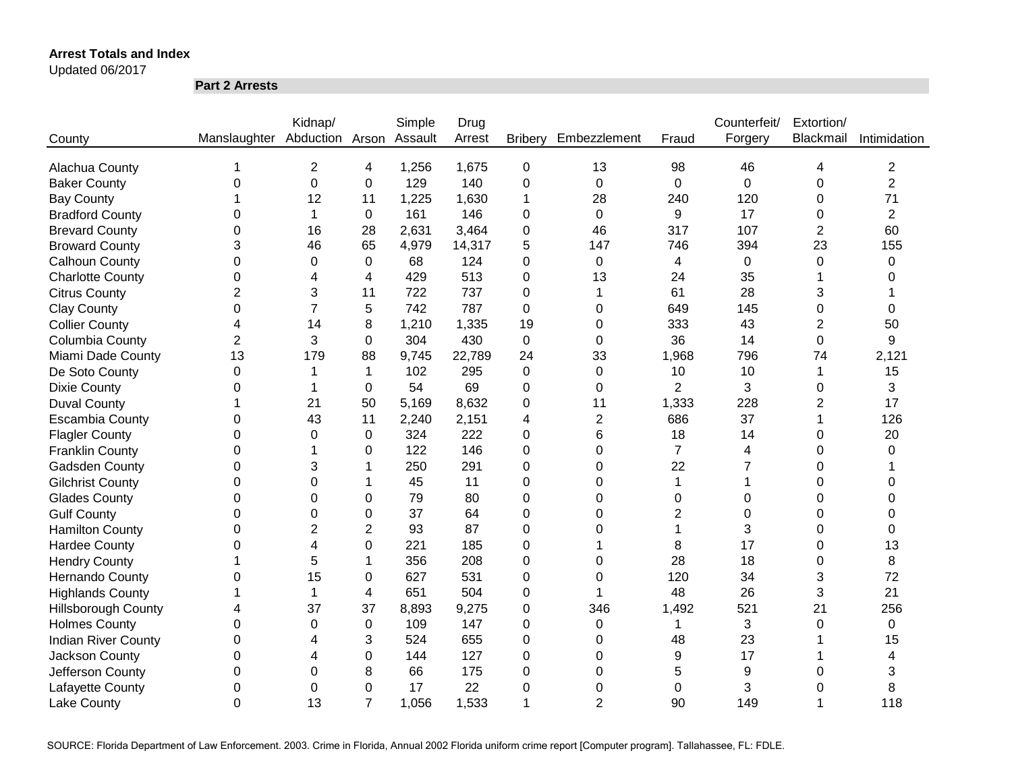Updated 06/2017

**Part 2 Arrests**

|                            |                              | Kidnap/        |                | Simple  | Drug   |                |                  |                | Counterfeit/ | Extortion/     |                |
|----------------------------|------------------------------|----------------|----------------|---------|--------|----------------|------------------|----------------|--------------|----------------|----------------|
| County                     | Manslaughter Abduction Arson |                |                | Assault | Arrest | <b>Bribery</b> | Embezzlement     | Fraud          | Forgery      | Blackmail      | Intimidation   |
|                            |                              |                |                |         |        |                |                  |                |              |                |                |
| Alachua County             |                              | $\overline{2}$ | 4              | 1,256   | 1,675  | $\mathbf 0$    | 13               | 98             | 46           | 4              | 2              |
| <b>Baker County</b>        | 0                            | $\mathbf 0$    | 0              | 129     | 140    | 0              | $\mathbf 0$      | 0              | $\mathbf 0$  | 0              | $\overline{2}$ |
| <b>Bay County</b>          |                              | 12             | 11             | 1,225   | 1,630  | 1              | 28               | 240            | 120          | 0              | 71             |
| <b>Bradford County</b>     | 0                            | 1              | 0              | 161     | 146    | 0              | $\mathbf 0$      | 9              | 17           | 0              | $\overline{2}$ |
| <b>Brevard County</b>      | 0                            | 16             | 28             | 2,631   | 3,464  | 0              | 46               | 317            | 107          | $\overline{2}$ | 60             |
| <b>Broward County</b>      | 3                            | 46             | 65             | 4,979   | 14,317 | 5              | 147              | 746            | 394          | 23             | 155            |
| <b>Calhoun County</b>      | 0                            | 0              | 0              | 68      | 124    | 0              | 0                | 4              | 0            | 0              | 0              |
| <b>Charlotte County</b>    | 0                            | 4              | 4              | 429     | 513    | 0              | 13               | 24             | 35           |                | 0              |
| <b>Citrus County</b>       | $\overline{2}$               | 3              | 11             | 722     | 737    | 0              | 1                | 61             | 28           | 3              |                |
| <b>Clay County</b>         | 0                            | $\overline{7}$ | 5              | 742     | 787    | 0              | 0                | 649            | 145          | 0              | 0              |
| <b>Collier County</b>      | 4                            | 14             | 8              | 1,210   | 1,335  | 19             | 0                | 333            | 43           | $\overline{2}$ | 50             |
| Columbia County            | $\overline{2}$               | 3              | 0              | 304     | 430    | 0              | 0                | 36             | 14           | $\mathbf 0$    | 9              |
| Miami Dade County          | 13                           | 179            | 88             | 9,745   | 22,789 | 24             | 33               | 1,968          | 796          | 74             | 2,121          |
| De Soto County             | $\Omega$                     |                | 1              | 102     | 295    | 0              | $\Omega$         | 10             | 10           | 1              | 15             |
| <b>Dixie County</b>        | 0                            |                | 0              | 54      | 69     | 0              | $\Omega$         | $\overline{2}$ | 3            | 0              | 3              |
| <b>Duval County</b>        |                              | 21             | 50             | 5,169   | 8,632  | 0              | 11               | 1,333          | 228          | $\overline{2}$ | 17             |
| <b>Escambia County</b>     | 0                            | 43             | 11             | 2,240   | 2,151  | 4              | $\overline{c}$   | 686            | 37           |                | 126            |
| <b>Flagler County</b>      | 0                            | 0              | $\Omega$       | 324     | 222    | 0              | 6                | 18             | 14           | 0              | 20             |
| <b>Franklin County</b>     | $\Omega$                     |                | 0              | 122     | 146    | 0              | $\Omega$         | $\overline{7}$ | 4            | $\Omega$       | $\Omega$       |
| Gadsden County             | 0                            | 3              | 1              | 250     | 291    | 0              | $\Omega$         | 22             | 7            | 0              |                |
| <b>Gilchrist County</b>    | 0                            | $\Omega$       | 1              | 45      | 11     | 0              | $\Omega$         | 1              |              | 0              | 0              |
| <b>Glades County</b>       | 0                            | $\Omega$       | $\Omega$       | 79      | 80     | 0              | $\Omega$         | 0              | 0            | 0              | 0              |
| <b>Gulf County</b>         | 0                            | 0              | 0              | 37      | 64     | 0              | $\Omega$         | 2              | 0            | 0              | 0              |
| <b>Hamilton County</b>     | 0                            | 2              | $\overline{2}$ | 93      | 87     | 0              | 0                |                | 3            | 0              | $\Omega$       |
| <b>Hardee County</b>       | 0                            | 4              | 0              | 221     | 185    | 0              |                  | 8              | 17           | 0              | 13             |
| <b>Hendry County</b>       |                              | 5              | 1              | 356     | 208    | 0              | 0                | 28             | 18           | 0              | 8              |
| Hernando County            | 0                            | 15             | 0              | 627     | 531    | 0              | $\Omega$         | 120            | 34           | 3              | 72             |
| <b>Highlands County</b>    |                              | 1              | 4              | 651     | 504    | 0              | 1                | 48             | 26           | 3              | 21             |
| <b>Hillsborough County</b> | 4                            | 37             | 37             | 8,893   | 9,275  | 0              | 346              | 1,492          | 521          | 21             | 256            |
| <b>Holmes County</b>       | 0                            | 0              | 0              | 109     | 147    | 0              | 0                | 1              | 3            | 0              | 0              |
| <b>Indian River County</b> | 0                            | 4              | 3              | 524     | 655    | 0              | $\boldsymbol{0}$ | 48             | 23           |                | 15             |
| Jackson County             | $\mathbf 0$                  | 4              | 0              | 144     | 127    | 0              | 0                | 9              | 17           |                | 4              |
| Jefferson County           | 0                            | 0              | 8              | 66      | 175    | 0              | 0                | 5              | 9            | 0              | 3              |
| Lafayette County           | 0                            | 0              | 0              | 17      | 22     | 0              | 0                | 0              | 3            | 0              | 8              |
| <b>Lake County</b>         | $\overline{0}$               | 13             | $\overline{7}$ | 1,056   | 1,533  | 1              | $\overline{2}$   | 90             | 149          |                | 118            |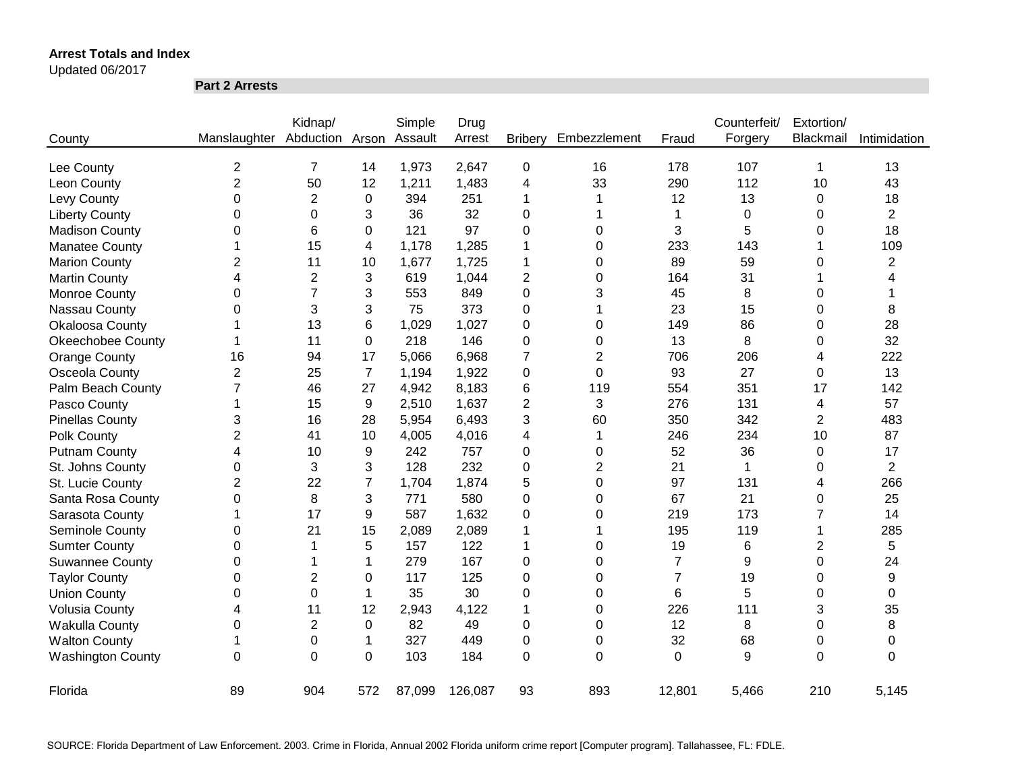Updated 06/2017

**Part 2 Arrests**

|                          |                | Kidnap/        |                | Simple  | Drug    |                |                |                | Counterfeit/ | Extortion/     |                |
|--------------------------|----------------|----------------|----------------|---------|---------|----------------|----------------|----------------|--------------|----------------|----------------|
| County                   | Manslaughter   | Abduction      | Arson          | Assault | Arrest  | <b>Bribery</b> | Embezzlement   | Fraud          | Forgery      | Blackmail      | Intimidation   |
| Lee County               | $\overline{2}$ | $\overline{7}$ | 14             | 1,973   | 2,647   | 0              | 16             | 178            | 107          | 1              | 13             |
| Leon County              | $\overline{2}$ | 50             | 12             | 1,211   | 1,483   | 4              | 33             | 290            | 112          | 10             | 43             |
| Levy County              | 0              | $\overline{2}$ | 0              | 394     | 251     | 1              |                | 12             | 13           | 0              | 18             |
| <b>Liberty County</b>    | 0              | 0              | 3              | 36      | 32      | 0              | 1              |                | $\mathbf 0$  | 0              | $\overline{2}$ |
| <b>Madison County</b>    | 0              | 6              | 0              | 121     | 97      | 0              | 0              | 3              | 5            | 0              | 18             |
| <b>Manatee County</b>    | 1              | 15             | 4              | 1,178   | 1,285   | 1              | 0              | 233            | 143          |                | 109            |
| <b>Marion County</b>     | $\overline{2}$ | 11             | 10             | 1,677   | 1,725   | 1              | 0              | 89             | 59           | 0              | $\overline{2}$ |
| <b>Martin County</b>     | 4              | $\overline{2}$ | 3              | 619     | 1,044   | 2              | 0              | 164            | 31           |                |                |
| Monroe County            | 0              | $\overline{7}$ | 3              | 553     | 849     | 0              | 3              | 45             | 8            | 0              |                |
| Nassau County            | 0              | 3              | 3              | 75      | 373     | 0              | 1              | 23             | 15           | 0              | 8              |
| Okaloosa County          |                | 13             | 6              | 1,029   | 1,027   | 0              | 0              | 149            | 86           | 0              | 28             |
| <b>Okeechobee County</b> |                | 11             | 0              | 218     | 146     | 0              | 0              | 13             | 8            | 0              | 32             |
| Orange County            | 16             | 94             | 17             | 5,066   | 6,968   | 7              | 2              | 706            | 206          | 4              | 222            |
| Osceola County           | $\overline{2}$ | 25             | $\overline{7}$ | 1,194   | 1,922   | 0              | $\Omega$       | 93             | 27           | 0              | 13             |
| Palm Beach County        | 7              | 46             | 27             | 4,942   | 8,183   | 6              | 119            | 554            | 351          | 17             | 142            |
| Pasco County             | 1              | 15             | 9              | 2,510   | 1,637   | 2              | 3              | 276            | 131          | 4              | 57             |
| <b>Pinellas County</b>   | 3              | 16             | 28             | 5,954   | 6,493   | 3              | 60             | 350            | 342          | $\overline{2}$ | 483            |
| Polk County              | $\overline{2}$ | 41             | 10             | 4,005   | 4,016   | 4              | 1              | 246            | 234          | 10             | 87             |
| <b>Putnam County</b>     | 4              | 10             | 9              | 242     | 757     | 0              | 0              | 52             | 36           | 0              | 17             |
| St. Johns County         | 0              | 3              | 3              | 128     | 232     | 0              | $\overline{2}$ | 21             | $\mathbf{1}$ | 0              | $\overline{2}$ |
| St. Lucie County         | $\overline{2}$ | 22             | $\overline{7}$ | 1,704   | 1,874   | 5              | 0              | 97             | 131          | 4              | 266            |
| Santa Rosa County        | 0              | 8              | 3              | 771     | 580     | 0              | 0              | 67             | 21           | 0              | 25             |
| Sarasota County          | 1              | 17             | 9              | 587     | 1,632   | 0              | 0              | 219            | 173          | 7              | 14             |
| Seminole County          | 0              | 21             | 15             | 2,089   | 2,089   | 1              | 1              | 195            | 119          |                | 285            |
| <b>Sumter County</b>     | 0              | 1              | 5              | 157     | 122     | 1              | 0              | 19             | $\,6$        | 2              | 5              |
| <b>Suwannee County</b>   | 0              |                | 1              | 279     | 167     | 0              | 0              | $\overline{7}$ | 9            | $\Omega$       | 24             |
| <b>Taylor County</b>     | 0              | 2              | 0              | 117     | 125     | 0              | $\Omega$       | $\overline{7}$ | 19           | 0              | 9              |
| <b>Union County</b>      | 0              | $\Omega$       | 1              | 35      | 30      | 0              | $\Omega$       | 6              | 5            | 0              | 0              |
| <b>Volusia County</b>    | 4              | 11             | 12             | 2,943   | 4,122   | 1              | $\Omega$       | 226            | 111          | 3              | 35             |
| Wakulla County           | 0              | $\overline{2}$ | 0              | 82      | 49      | 0              | $\Omega$       | 12             | 8            | 0              | 8              |
| <b>Walton County</b>     | 1              | 0              | 1              | 327     | 449     | 0              | 0              | 32             | 68           | 0              | 0              |
| <b>Washington County</b> | $\mathbf 0$    | 0              | $\mathbf 0$    | 103     | 184     | 0              | $\Omega$       | $\overline{0}$ | 9            | $\overline{0}$ | $\Omega$       |
| Florida                  | 89             | 904            | 572            | 87,099  | 126,087 | 93             | 893            | 12,801         | 5,466        | 210            | 5,145          |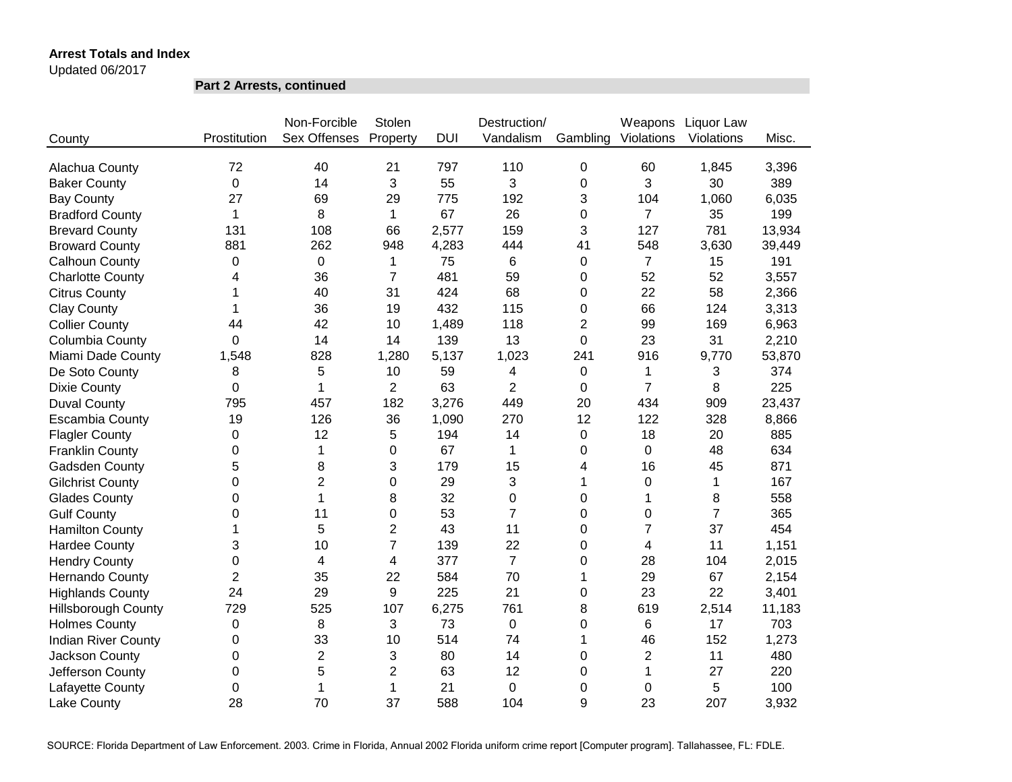Updated 06/2017

**Part 2 Arrests, continued**

|                            |                | Non-Forcible        | Stolen           |            | Destruction/   |                | Weapons        | Liquor Law     |        |
|----------------------------|----------------|---------------------|------------------|------------|----------------|----------------|----------------|----------------|--------|
| County                     | Prostitution   | <b>Sex Offenses</b> | Property         | <b>DUI</b> | Vandalism      | Gambling       | Violations     | Violations     | Misc.  |
|                            |                |                     |                  |            |                |                |                |                |        |
| Alachua County             | 72             | 40                  | 21               | 797        | 110            | 0              | 60             | 1,845          | 3,396  |
| <b>Baker County</b>        | 0              | 14                  | 3                | 55         | 3              | 0              | 3              | 30             | 389    |
| <b>Bay County</b>          | 27             | 69                  | 29               | 775        | 192            | 3              | 104            | 1,060          | 6,035  |
| <b>Bradford County</b>     | $\mathbf 1$    | 8                   | $\mathbf{1}$     | 67         | 26             | 0              | $\overline{7}$ | 35             | 199    |
| <b>Brevard County</b>      | 131            | 108                 | 66               | 2,577      | 159            | 3              | 127            | 781            | 13,934 |
| <b>Broward County</b>      | 881            | 262                 | 948              | 4,283      | 444            | 41             | 548            | 3,630          | 39,449 |
| Calhoun County             | $\mathbf 0$    | 0                   | 1                | 75         | 6              | 0              | $\overline{7}$ | 15             | 191    |
| <b>Charlotte County</b>    | 4              | 36                  | $\overline{7}$   | 481        | 59             | 0              | 52             | 52             | 3,557  |
| <b>Citrus County</b>       | 1              | 40                  | 31               | 424        | 68             | 0              | 22             | 58             | 2,366  |
| <b>Clay County</b>         | 1              | 36                  | 19               | 432        | 115            | 0              | 66             | 124            | 3,313  |
| <b>Collier County</b>      | 44             | 42                  | 10               | 1,489      | 118            | $\overline{2}$ | 99             | 169            | 6,963  |
| Columbia County            | 0              | 14                  | 14               | 139        | 13             | 0              | 23             | 31             | 2,210  |
| Miami Dade County          | 1,548          | 828                 | 1,280            | 5,137      | 1,023          | 241            | 916            | 9,770          | 53,870 |
| De Soto County             | 8              | 5                   | 10               | 59         | 4              | 0              | 1              | 3              | 374    |
| <b>Dixie County</b>        | $\Omega$       | 1                   | $\overline{2}$   | 63         | $\overline{2}$ | 0              | $\overline{7}$ | 8              | 225    |
| <b>Duval County</b>        | 795            | 457                 | 182              | 3,276      | 449            | 20             | 434            | 909            | 23,437 |
| <b>Escambia County</b>     | 19             | 126                 | 36               | 1,090      | 270            | 12             | 122            | 328            | 8,866  |
| <b>Flagler County</b>      | $\Omega$       | 12                  | 5                | 194        | 14             | 0              | 18             | 20             | 885    |
| <b>Franklin County</b>     | $\Omega$       | 1                   | $\boldsymbol{0}$ | 67         | $\mathbf 1$    | 0              | 0              | 48             | 634    |
| <b>Gadsden County</b>      | 5              | 8                   | 3                | 179        | 15             | 4              | 16             | 45             | 871    |
| <b>Gilchrist County</b>    | $\Omega$       | $\overline{2}$      | 0                | 29         | 3              | 1              | 0              | $\mathbf 1$    | 167    |
| <b>Glades County</b>       | $\Omega$       | 1                   | 8                | 32         | 0              | 0              | 1              | 8              | 558    |
| <b>Gulf County</b>         | 0              | 11                  | 0                | 53         | $\overline{7}$ | 0              | $\Omega$       | $\overline{7}$ | 365    |
| <b>Hamilton County</b>     | 1              | 5                   | $\overline{c}$   | 43         | 11             | 0              | 7              | 37             | 454    |
| <b>Hardee County</b>       | 3              | 10                  | $\overline{7}$   | 139        | 22             | 0              | 4              | 11             | 1,151  |
| <b>Hendry County</b>       | 0              | 4                   | 4                | 377        | $\overline{7}$ | 0              | 28             | 104            | 2,015  |
| Hernando County            | $\overline{2}$ | 35                  | 22               | 584        | 70             | 1              | 29             | 67             | 2,154  |
| <b>Highlands County</b>    | 24             | 29                  | 9                | 225        | 21             | 0              | 23             | 22             | 3,401  |
| <b>Hillsborough County</b> | 729            | 525                 | 107              | 6,275      | 761            | 8              | 619            | 2,514          | 11,183 |
| <b>Holmes County</b>       | $\pmb{0}$      | 8                   | 3                | 73         | $\pmb{0}$      | 0              | 6              | 17             | 703    |
| <b>Indian River County</b> | 0              | 33                  | 10               | 514        | 74             | 1              | 46             | 152            | 1,273  |
| Jackson County             | 0              | $\overline{2}$      | 3                | 80         | 14             | 0              | $\overline{2}$ | 11             | 480    |
| Jefferson County           | 0              | 5                   | $\overline{2}$   | 63         | 12             | 0              | 1              | 27             | 220    |
| Lafayette County           | 0              | 1                   | 1                | 21         | 0              | 0              | 0              | 5              | 100    |
| Lake County                | 28             | 70                  | 37               | 588        | 104            | 9              | 23             | 207            | 3,932  |